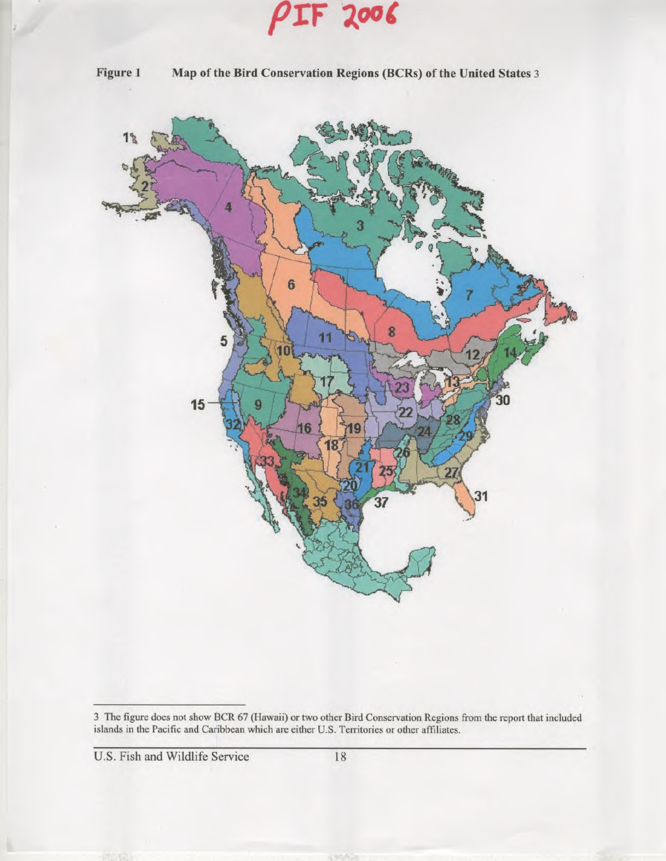**pry zot** 



**Figure 1 Map of the Bird Conservation Regions (BCRs) of the United States** <sup>3</sup>



3 The figure does not show BCR 67 (Hawaii) or two other Bird Conservation Regions from the report that included islands in the Pacific and Caribbean which are either U.S. Territories or other affiliates.

U.S. Fish and Wildlife Service 18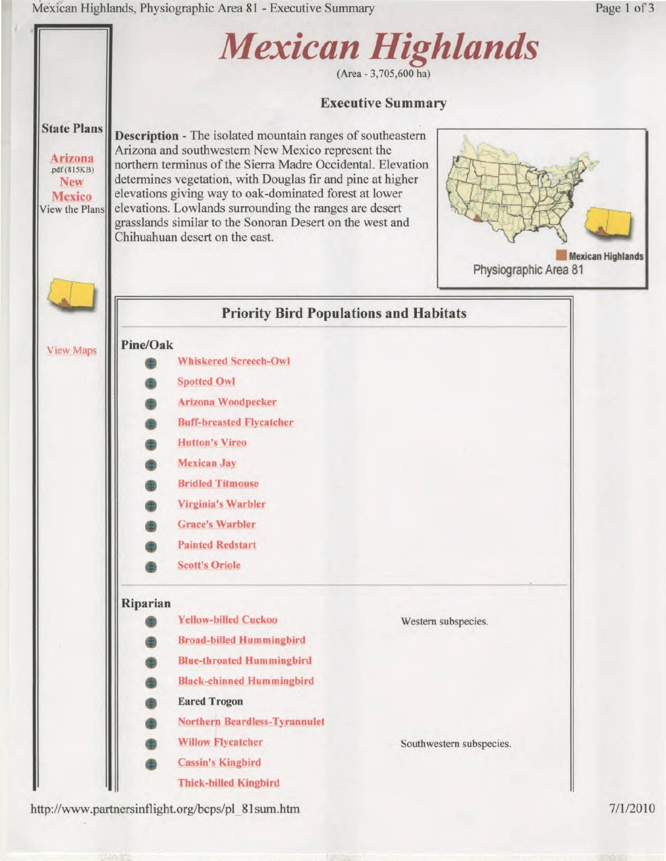Mexican Highlands, Physiographic Area 81 - Executive Summary Page 1 of 3



http://www.partnersinflight.org/bcps/pl 81 sum.htm 7/1/2010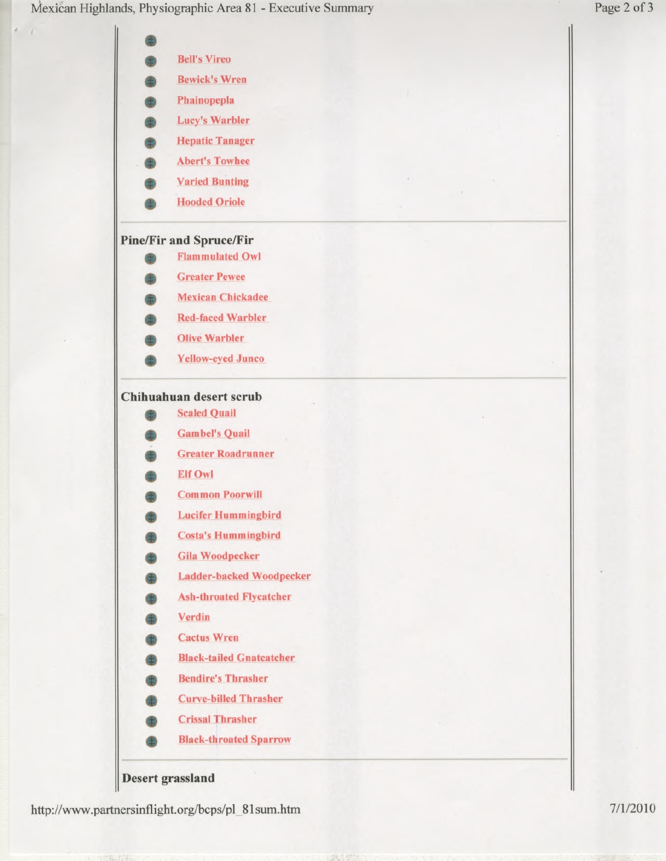Mexican Highlands, Physiographic Area 81 - Executive Summary Page 2 of 3



## **Desert grassland**

http://www.partnersinflight.org/bcps/pl\_81 sum.htm 7/1/2010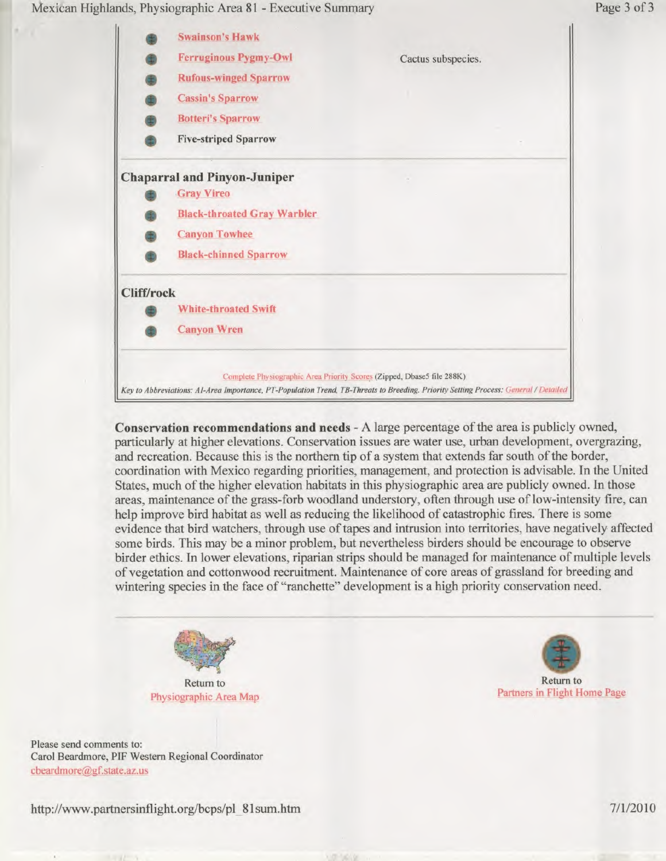Mexican Highlands, Physiographic Area 81 - Executive Summary Page 3 of 3



**Conservation recommendations and needs -** A large percentage of the area is publicly owned, particularly at higher elevations. Conservation issues are water use, urban development, overgrazing, and recreation. Because this is the northern tip of a system that extends far south of the border, coordination with Mexico regarding priorities, management, and protection is advisable. In the United States, much of the higher elevation habitats in this physiographic area are publicly owned. **In** those areas, maintenance of the grass-forb woodland understory, often through use of low-intensity fire, can help improve bird habitat as well as reducing the likelihood of catastrophic fires. There is some evidence that bird watchers, through use of tapes and intrusion into territories, have negatively affected some birds. This may be a minor problem, but nevertheless birders should be encourage to observe birder ethics. In lower elevations, riparian strips should be managed for maintenance of multiple levels of vegetation and cottonwood recruitment. Maintenance of core areas of grassland for breeding and wintering species in the face of "ranchette" development is a high priority conservation need.



Please send comments to: Carol Beardmore, PIF Western Regional Coordinator cbeardmore@gf.state.az.us



http://www.partnersinflight.org/bcps/pl 81sum.htm 7/1/2010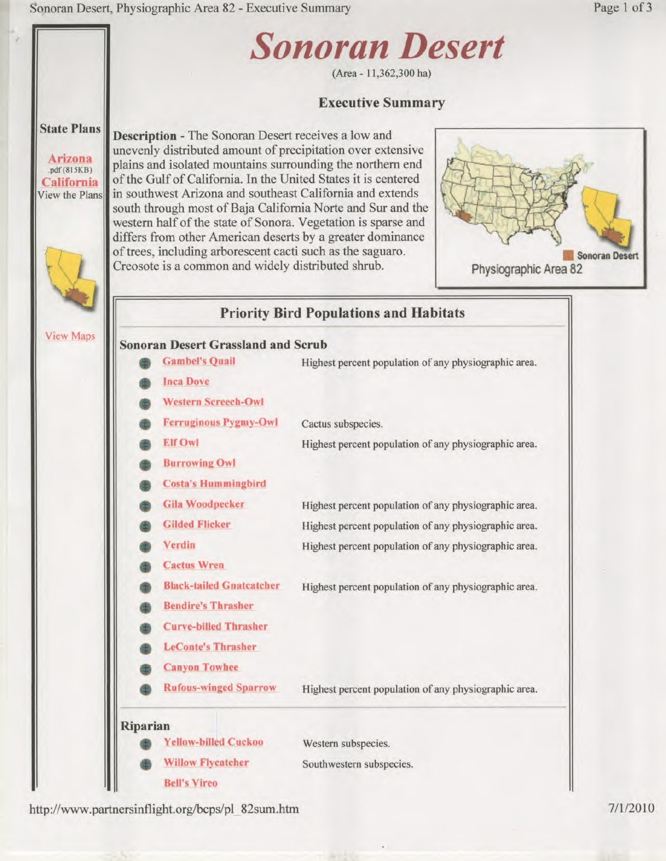

http://www.partnersinflight.org/bcps/pl 82sum.htm 7/1/2010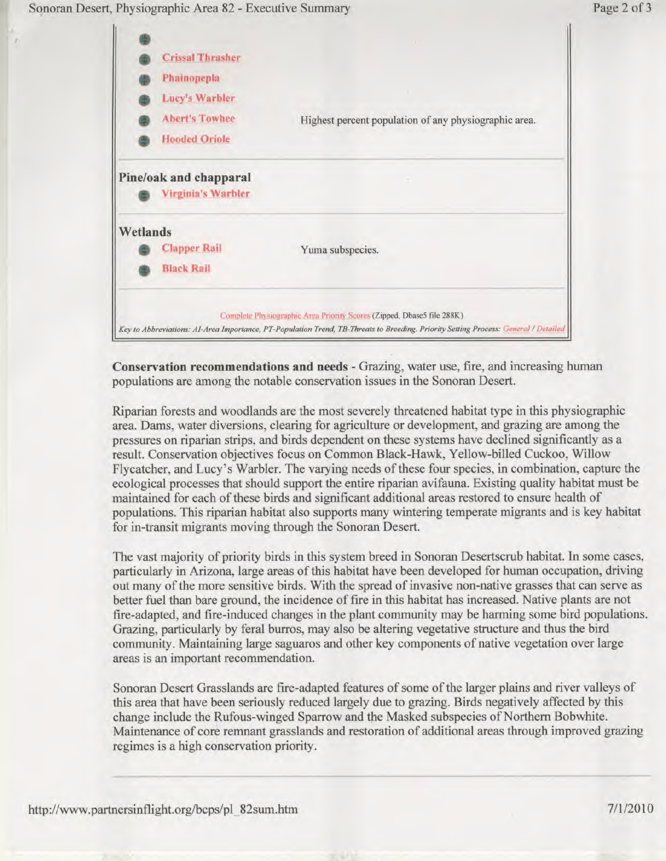



**Conservation recommendations and needs -** Grazing, water use, fire, and increasing human populations are among the notable conservation issues in the Sonoran Desert.

Riparian forests and woodlands are the most severely threatened habitat type in this physiographic area. Dams, water diversions, clearing for agriculture or development, and grazing are among the pressures on riparian strips, and birds dependent on these systems have declined significantly as a result. Conservation objectives focus on Common Black-Hawk, Yellow-billed Cuckoo, Willow Flycatcher, and Lucy's Warbler. The varying needs of these four species, in combination, capture the ecological processes that should support the entire riparian avifauna. Existing quality habitat must be maintained for each of these birds and significant additional areas restored to ensure health of populations. This riparian habitat also supports many wintering temperate migrants and is key habitat for in-transit migrants moving through the Sonoran Desert.

The vast majority of priority birds in this system breed in Sonoran Desertscrub habitat. In some cases, particularly in Arizona, large areas of this habitat have been developed for human occupation, driving out many of the more sensitive birds. With the spread of invasive non-native grasses that can serve as better fuel than bare ground, the incidence of fire in this habitat has increased. Native plants are not fire-adapted, and fire-induced changes in the plant community may be harming some bird populations. Grazing, particularly by feral burros, may also be altering vegetative structure and thus the bird community. Maintaining large saguaros and other key components of native vegetation over large areas is an important recommendation.

Sonoran Desert Grasslands are fire-adapted features of some of the larger plains and river valleys of this area that have been seriously reduced largely due to grazing. Birds negatively affected by this change include the Rufous-winged Sparrow and the Masked subspecies of Northern Bobwhite. Maintenance of core remnant grasslands and restoration of additional areas through improved grazing regimes is a high conservation priority.